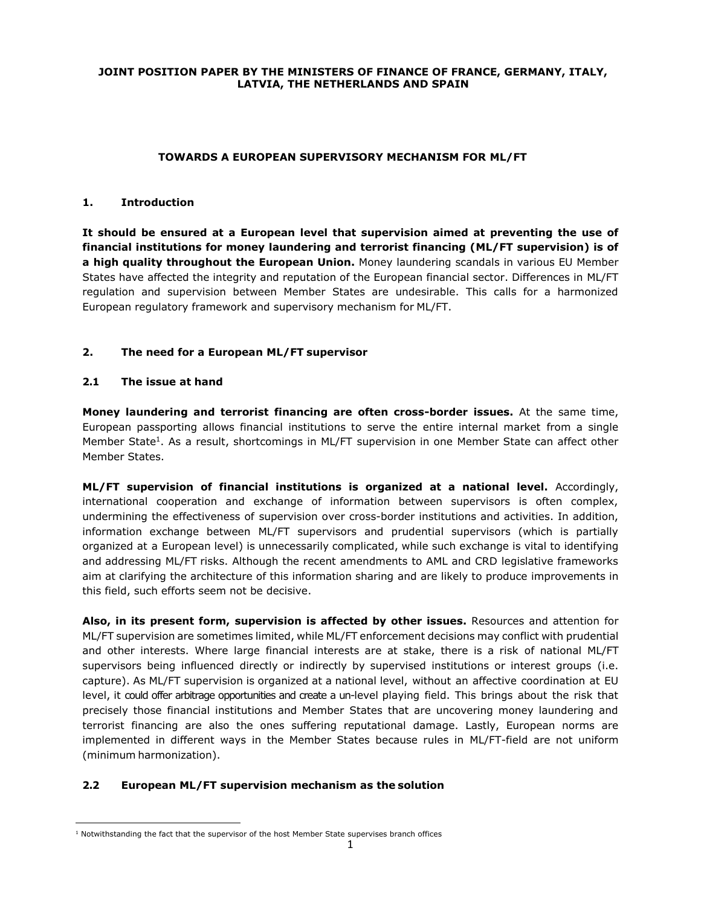## **JOINT POSITION PAPER BY THE MINISTERS OF FINANCE OF FRANCE, GERMANY, ITALY, LATVIA, THE NETHERLANDS AND SPAIN**

#### **TOWARDS A EUROPEAN SUPERVISORY MECHANISM FOR ML/FT**

#### **1. Introduction**

**It should be ensured at a European level that supervision aimed at preventing the use of financial institutions for money laundering and terrorist financing (ML/FT supervision) is of a high quality throughout the European Union.** Money laundering scandals in various EU Member States have affected the integrity and reputation of the European financial sector. Differences in ML/FT regulation and supervision between Member States are undesirable. This calls for a harmonized European regulatory framework and supervisory mechanism for ML/FT.

## **2. The need for a European ML/FT supervisor**

#### **2.1 The issue at hand**

 $\overline{a}$ 

**Money laundering and terrorist financing are often cross-border issues.** At the same time, European passporting allows financial institutions to serve the entire internal market from a single Member State<sup>1</sup>. As a result, shortcomings in ML/FT supervision in one Member State can affect other Member States.

**ML/FT supervision of financial institutions is organized at a national level.** Accordingly, international cooperation and exchange of information between supervisors is often complex, undermining the effectiveness of supervision over cross-border institutions and activities. In addition, information exchange between ML/FT supervisors and prudential supervisors (which is partially organized at a European level) is unnecessarily complicated, while such exchange is vital to identifying and addressing ML/FT risks. Although the recent amendments to AML and CRD legislative frameworks aim at clarifying the architecture of this information sharing and are likely to produce improvements in this field, such efforts seem not be decisive.

**Also, in its present form, supervision is affected by other issues.** Resources and attention for ML/FT supervision are sometimes limited, while ML/FT enforcement decisions may conflict with prudential and other interests. Where large financial interests are at stake, there is a risk of national ML/FT supervisors being influenced directly or indirectly by supervised institutions or interest groups (i.e. capture). As ML/FT supervision is organized at a national level, without an affective coordination at EU level, it could offer arbitrage opportunities and create a un-level playing field. This brings about the risk that precisely those financial institutions and Member States that are uncovering money laundering and terrorist financing are also the ones suffering reputational damage. Lastly, European norms are implemented in different ways in the Member States because rules in ML/FT-field are not uniform (minimum harmonization).

## **2.2 European ML/FT supervision mechanism as the solution**

 $1$  Notwithstanding the fact that the supervisor of the host Member State supervises branch offices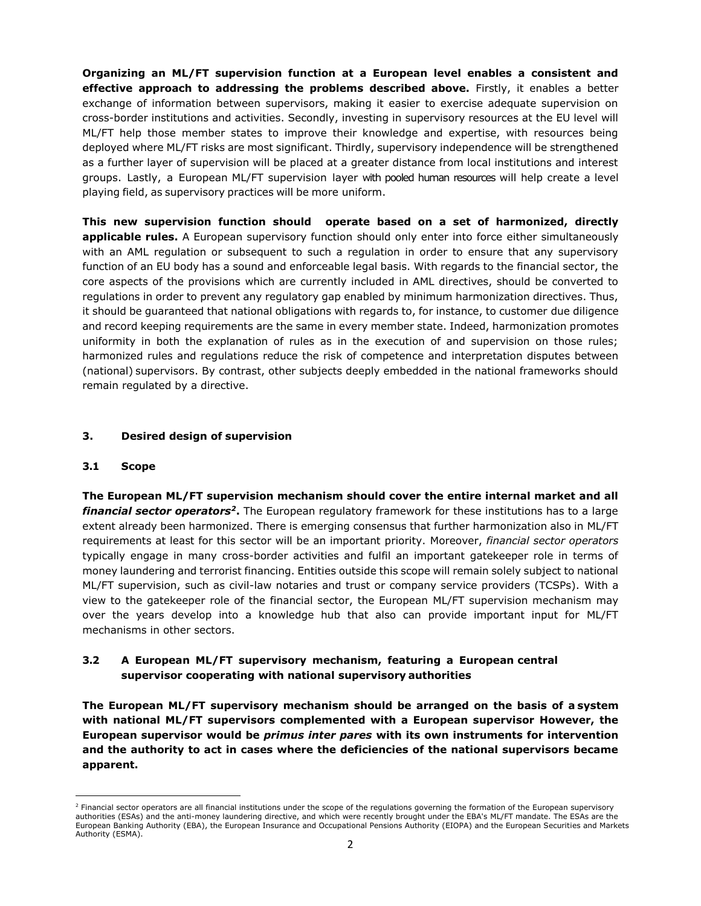**Organizing an ML/FT supervision function at a European level enables a consistent and effective approach to addressing the problems described above.** Firstly, it enables a better exchange of information between supervisors, making it easier to exercise adequate supervision on cross-border institutions and activities. Secondly, investing in supervisory resources at the EU level will ML/FT help those member states to improve their knowledge and expertise, with resources being deployed where ML/FT risks are most significant. Thirdly, supervisory independence will be strengthened as a further layer of supervision will be placed at a greater distance from local institutions and interest groups. Lastly, a European ML/FT supervision layer with pooled human resources will help create a level playing field, as supervisory practices will be more uniform.

**This new supervision function should operate based on a set of harmonized, directly applicable rules.** A European supervisory function should only enter into force either simultaneously with an AML regulation or subsequent to such a regulation in order to ensure that any supervisory function of an EU body has a sound and enforceable legal basis. With regards to the financial sector, the core aspects of the provisions which are currently included in AML directives, should be converted to regulations in order to prevent any regulatory gap enabled by minimum harmonization directives. Thus, it should be guaranteed that national obligations with regards to, for instance, to customer due diligence and record keeping requirements are the same in every member state. Indeed, harmonization promotes uniformity in both the explanation of rules as in the execution of and supervision on those rules; harmonized rules and regulations reduce the risk of competence and interpretation disputes between (national) supervisors. By contrast, other subjects deeply embedded in the national frameworks should remain regulated by a directive.

## **3. Desired design of supervision**

## **3.1 Scope**

 $\overline{a}$ 

**The European ML/FT supervision mechanism should cover the entire internal market and all**  *financial sector operators<sup>2</sup>***.** The European regulatory framework for these institutions has to a large extent already been harmonized. There is emerging consensus that further harmonization also in ML/FT requirements at least for this sector will be an important priority. Moreover, *financial sector operators* typically engage in many cross-border activities and fulfil an important gatekeeper role in terms of money laundering and terrorist financing. Entities outside this scope will remain solely subject to national ML/FT supervision, such as civil-law notaries and trust or company service providers (TCSPs). With a view to the gatekeeper role of the financial sector, the European ML/FT supervision mechanism may over the years develop into a knowledge hub that also can provide important input for ML/FT mechanisms in other sectors.

## **3.2 A European ML/FT supervisory mechanism, featuring a European central supervisor cooperating with national supervisory authorities**

**The European ML/FT supervisory mechanism should be arranged on the basis of a system with national ML/FT supervisors complemented with a European supervisor However, the European supervisor would be** *primus inter pares* **with its own instruments for intervention and the authority to act in cases where the deficiencies of the national supervisors became apparent.** 

<sup>&</sup>lt;sup>2</sup> Financial sector operators are all financial institutions under the scope of the regulations governing the formation of the European supervisory authorities (ESAs) and the anti-money laundering directive, and which were recently brought under the EBA's ML/FT mandate. The ESAs are the European Banking Authority (EBA), the European Insurance and Occupational Pensions Authority (EIOPA) and the European Securities and Markets Authority (ESMA).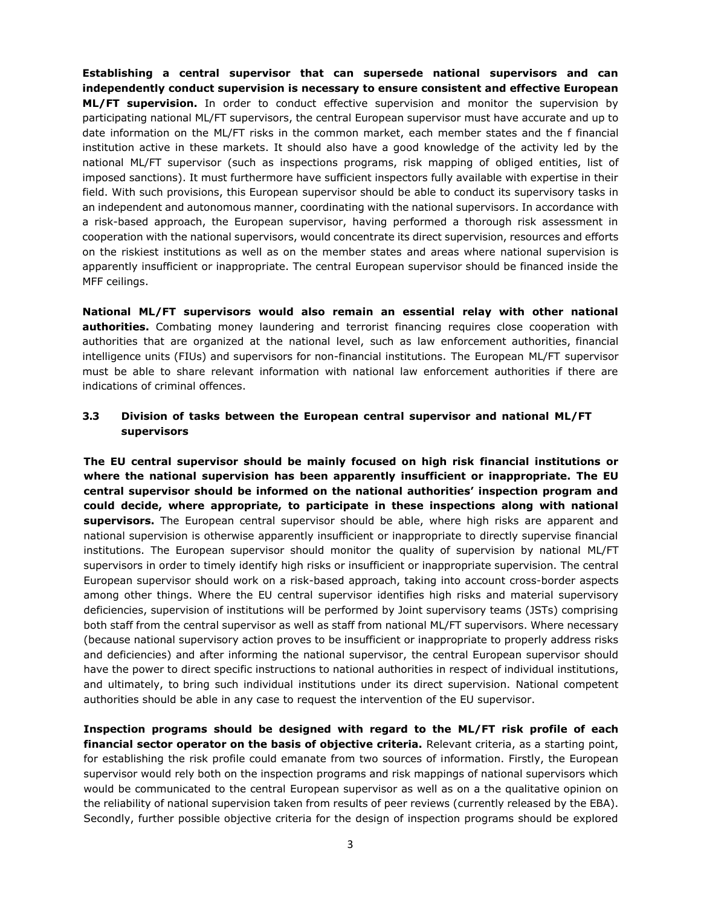**Establishing a central supervisor that can supersede national supervisors and can independently conduct supervision is necessary to ensure consistent and effective European ML/FT supervision.** In order to conduct effective supervision and monitor the supervision by participating national ML/FT supervisors, the central European supervisor must have accurate and up to date information on the ML/FT risks in the common market, each member states and the f financial institution active in these markets. It should also have a good knowledge of the activity led by the national ML/FT supervisor (such as inspections programs, risk mapping of obliged entities, list of imposed sanctions). It must furthermore have sufficient inspectors fully available with expertise in their field. With such provisions, this European supervisor should be able to conduct its supervisory tasks in an independent and autonomous manner, coordinating with the national supervisors. In accordance with a risk-based approach, the European supervisor, having performed a thorough risk assessment in cooperation with the national supervisors, would concentrate its direct supervision, resources and efforts on the riskiest institutions as well as on the member states and areas where national supervision is apparently insufficient or inappropriate. The central European supervisor should be financed inside the MFF ceilings.

**National ML/FT supervisors would also remain an essential relay with other national authorities.** Combating money laundering and terrorist financing requires close cooperation with authorities that are organized at the national level, such as law enforcement authorities, financial intelligence units (FIUs) and supervisors for non-financial institutions. The European ML/FT supervisor must be able to share relevant information with national law enforcement authorities if there are indications of criminal offences.

## **3.3 Division of tasks between the European central supervisor and national ML/FT supervisors**

**The EU central supervisor should be mainly focused on high risk financial institutions or where the national supervision has been apparently insufficient or inappropriate. The EU central supervisor should be informed on the national authorities' inspection program and could decide, where appropriate, to participate in these inspections along with national supervisors.** The European central supervisor should be able, where high risks are apparent and national supervision is otherwise apparently insufficient or inappropriate to directly supervise financial institutions. The European supervisor should monitor the quality of supervision by national ML/FT supervisors in order to timely identify high risks or insufficient or inappropriate supervision. The central European supervisor should work on a risk-based approach, taking into account cross-border aspects among other things. Where the EU central supervisor identifies high risks and material supervisory deficiencies, supervision of institutions will be performed by Joint supervisory teams (JSTs) comprising both staff from the central supervisor as well as staff from national ML/FT supervisors. Where necessary (because national supervisory action proves to be insufficient or inappropriate to properly address risks and deficiencies) and after informing the national supervisor, the central European supervisor should have the power to direct specific instructions to national authorities in respect of individual institutions, and ultimately, to bring such individual institutions under its direct supervision. National competent authorities should be able in any case to request the intervention of the EU supervisor.

**Inspection programs should be designed with regard to the ML/FT risk profile of each financial sector operator on the basis of objective criteria.** Relevant criteria, as a starting point, for establishing the risk profile could emanate from two sources of information. Firstly, the European supervisor would rely both on the inspection programs and risk mappings of national supervisors which would be communicated to the central European supervisor as well as on a the qualitative opinion on the reliability of national supervision taken from results of peer reviews (currently released by the EBA). Secondly, further possible objective criteria for the design of inspection programs should be explored